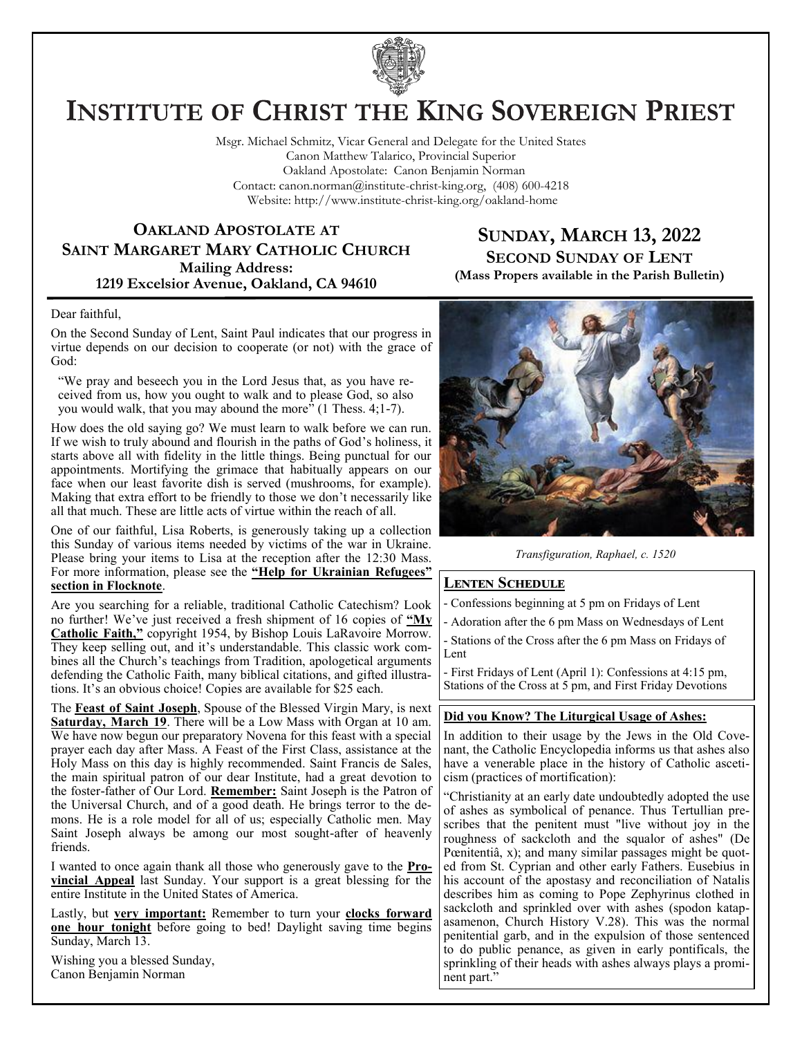

# **INSTITUTE OF CHRIST THE KING SOVEREIGN PRIEST**

Msgr. Michael Schmitz, Vicar General and Delegate for the United States Canon Matthew Talarico, Provincial Superior Oakland Apostolate: Canon Benjamin Norman Contact: canon.norman@institute-christ-king.org, (408) 600-4218 Website: http://www.institute-christ-king.org/oakland-home

## **OAKLAND APOSTOLATE AT SAINT MARGARET MARY CATHOLIC CHURCH Mailing Address: 1219 Excelsior Avenue, Oakland, CA 94610**

## **SUNDAY, MARCH 13, 2022 SECOND SUNDAY OF LENT (Mass Propers available in the Parish Bulletin)**

#### Dear faithful,

On the Second Sunday of Lent, Saint Paul indicates that our progress in virtue depends on our decision to cooperate (or not) with the grace of God:

"We pray and beseech you in the Lord Jesus that, as you have received from us, how you ought to walk and to please God, so also you would walk, that you may abound the more" (1 Thess. 4;1-7).

How does the old saying go? We must learn to walk before we can run. If we wish to truly abound and flourish in the paths of God's holiness, it starts above all with fidelity in the little things. Being punctual for our appointments. Mortifying the grimace that habitually appears on our face when our least favorite dish is served (mushrooms, for example). Making that extra effort to be friendly to those we don't necessarily like all that much. These are little acts of virtue within the reach of all.

One of our faithful, Lisa Roberts, is generously taking up a collection this Sunday of various items needed by victims of the war in Ukraine. Please bring your items to Lisa at the reception after the 12:30 Mass. For more information, please see the **"Help for Ukrainian Refugees" section in Flocknote**.

Are you searching for a reliable, traditional Catholic Catechism? Look no further! We've just received a fresh shipment of 16 copies of **"My Catholic Faith,"** copyright 1954, by Bishop Louis LaRavoire Morrow. They keep selling out, and it's understandable. This classic work combines all the Church's teachings from Tradition, apologetical arguments defending the Catholic Faith, many biblical citations, and gifted illustrations. It's an obvious choice! Copies are available for \$25 each.

The **Feast of Saint Joseph**, Spouse of the Blessed Virgin Mary, is next **Saturday, March 19**. There will be a Low Mass with Organ at 10 am. We have now begun our preparatory Novena for this feast with a special prayer each day after Mass. A Feast of the First Class, assistance at the Holy Mass on this day is highly recommended. Saint Francis de Sales, the main spiritual patron of our dear Institute, had a great devotion to the foster-father of Our Lord. **Remember:** Saint Joseph is the Patron of the Universal Church, and of a good death. He brings terror to the demons. He is a role model for all of us; especially Catholic men. May Saint Joseph always be among our most sought-after of heavenly friends.

I wanted to once again thank all those who generously gave to the **Provincial Appeal** last Sunday. Your support is a great blessing for the entire Institute in the United States of America.

Lastly, but **very important:** Remember to turn your **clocks forward one hour tonight** before going to bed! Daylight saving time begins Sunday, March 13.

Wishing you a blessed Sunday, Canon Benjamin Norman



*Transfiguration, Raphael, c. 1520*

### **Lenten Schedule**

- Confessions beginning at 5 pm on Fridays of Lent

- Adoration after the 6 pm Mass on Wednesdays of Lent
- Stations of the Cross after the 6 pm Mass on Fridays of Lent

- First Fridays of Lent (April 1): Confessions at 4:15 pm, Stations of the Cross at 5 pm, and First Friday Devotions

### **Did you Know? The Liturgical Usage of Ashes:**

In addition to their usage by the Jews in the Old Covenant, the Catholic Encyclopedia informs us that ashes also have a venerable place in the history of Catholic asceticism (practices of mortification):

"Christianity at an early date undoubtedly adopted the use of ashes as symbolical of penance. Thus Tertullian prescribes that the penitent must "live without joy in the roughness of sackcloth and the squalor of ashes" (De Pœnitentiâ, x); and many similar passages might be quoted from St. Cyprian and other early Fathers. Eusebius in his account of the apostasy and reconciliation of Natalis describes him as coming to Pope Zephyrinus clothed in sackcloth and sprinkled over with ashes (spodon katapasamenon, Church History V.28). This was the normal penitential garb, and in the expulsion of those sentenced to do public penance, as given in early pontificals, the sprinkling of their heads with ashes always plays a prominent part."